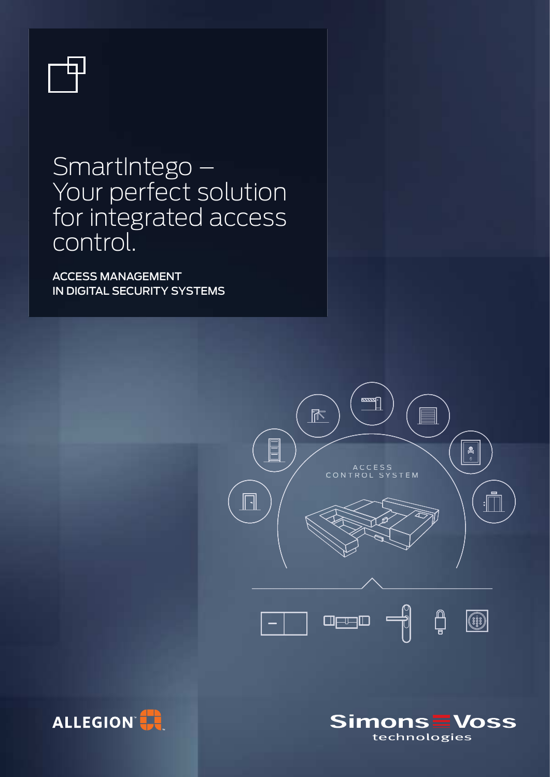

# SmartIntego – Your perfect solution for integrated access control.

ACCESS MANAGEMENT IN DIGITAL SECURITY SYSTEMS





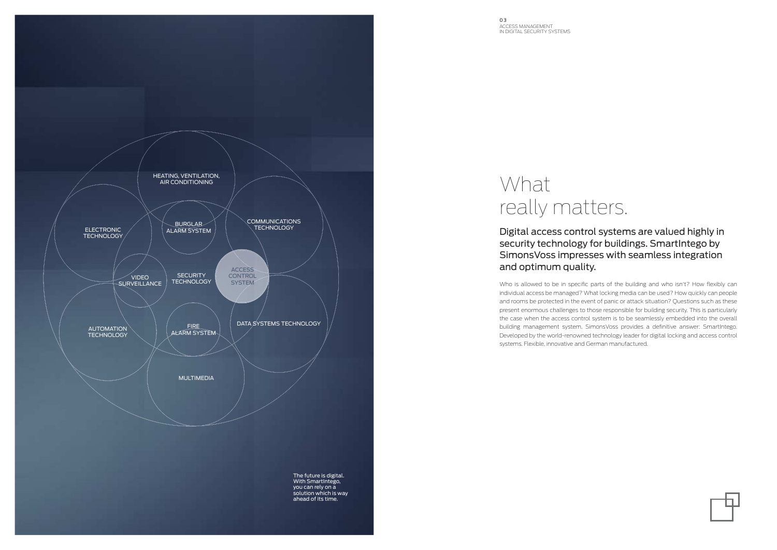### Digital access control systems are valued highly in security technology for buildings. SmartIntego by SimonsVoss impresses with seamless integration and optimum quality.

Who is allowed to be in specific parts of the building and who isn't? How flexibly can individual access be managed? What locking media can be used? How quickly can people and rooms be protected in the event of panic or attack situation? Questions such as these present enormous challenges to those responsible for building security. This is particularly the case when the access control system is to be seamlessly embedded into the overall building management system. SimonsVoss provides a definitive answer: SmartIntego. Developed by the world-renowned technology leader for digital locking and access control systems. Flexible, innovative and German manufactured.



# What really matters.

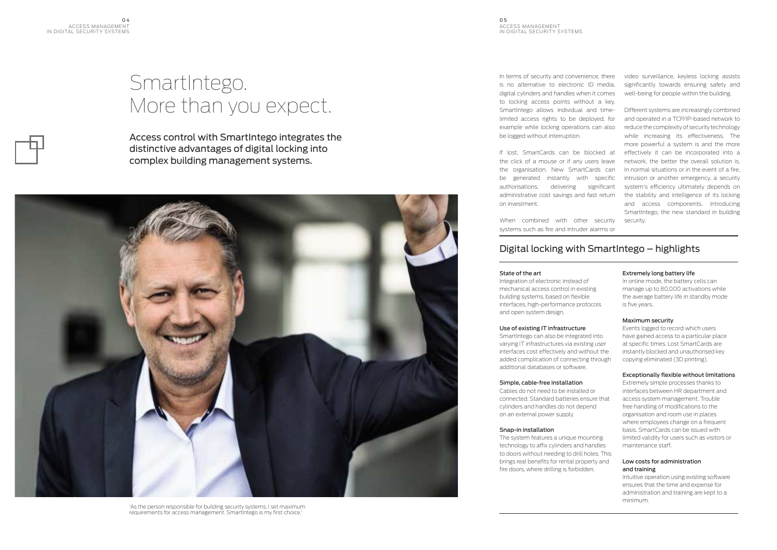# SmartIntego. More than you expect.

In terms of security and convenience, there is no alternative to electronic ID media, digital cylinders and handles when it comes to locking access points without a key. limited access rights to be deployed, for example while locking operations can also be logged without interruption.

When combined with other security systems such as fire and intruder alarms or

the click of a mouse or if any users leave the organisation. New SmartCards can be generated instantly with specific authorisations, delivering significant on investment.

 $0.4$  0.4 ACCESS MANAGEMENT IN DIGITAL SECURITY SYSTEMS

> video surveillance, keyless locking assists significantly towards ensuring safety and well-being for people within the building.

SmartIntego allows individual and time-Different systems are increasingly combined If lost, SmartCards can be blocked at effectively it can be incorporated into a administrative cost savings and fast return the stability and intelligence of its locking and operated in a TCP/IP-based network to reduce the complexity of security technology while increasing its effectiveness. The more powerful a system is and the more network, the better the overall solution is. In normal situations or in the event of a fire, intrusion or another emergency, a security system's efficiency ultimately depends on and access components. Introducing SmartIntego, the new standard in building security.



<sup>&#</sup>x27;As the person responsible for building security systems, I set maximum requirements for access management. SmartIntego is my first choice.

SmartIntego can also be integrated into varying IT infrastructures via existing user interfaces cost effectively and without the added complication of connecting through additional databases or software.

The system features a unique mounting technology to affix cylinders and handles to doors without needing to drill holes. This brings real benefits for rental property and fire doors, where drilling is forbidden.

In online mode, the battery cells can manage up to 80,000 activations while the average battery life in standby mode is five years.

Access control with SmartIntego integrates the distinctive advantages of digital locking into complex building management systems.

> Intuitive operation using existing software ensures that the time and expense for administration and training are kept to a minimum.

### State of the art

Integration of electronic instead of mechanical access control in existing building systems, based on flexible interfaces, high-performance protocols and open system design.

### Use of existing IT infrastructure

### Simple, cable-free installation

Cables do not need to be installed or connected. Standard batteries ensure that cylinders and handles do not depend on an external power supply.

### Snap-in installation

### Extremely long battery life

### Maximum security

Events logged to record which users have gained access to a particular place at specific times. Lost SmartCards are instantly blocked and unauthorised key copying eliminated (3D printing).

### Exceptionally flexible without limitations

Extremely simple processes thanks to interfaces between HR department and access system management. Trouble free handling of modifications to the organisation and room use in places where employees change on a frequent basis. SmartCards can be issued with limited validity for users such as visitors or maintenance staff.

#### Low costs for administration and training

### Digital locking with SmartIntego – highlights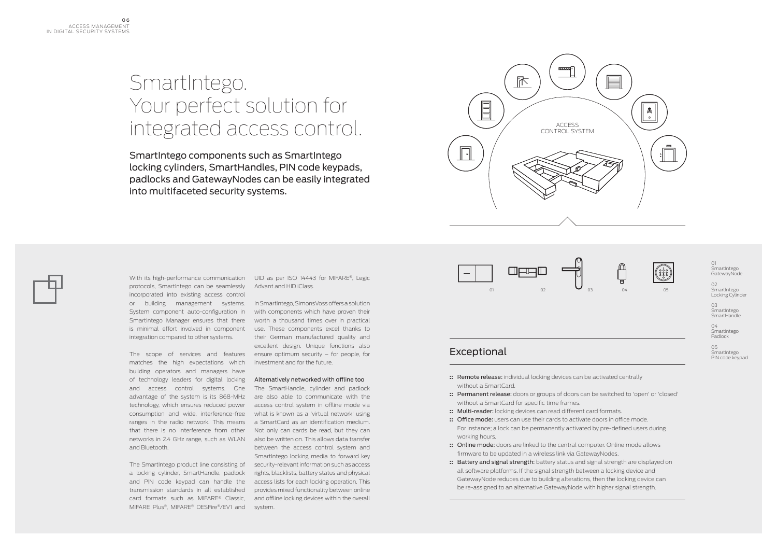With its high-performance communication UID as per ISO 14443 for MIFARE®, Legic protocols, SmartIntego can be seamlessly incorporated into existing access control System component auto-configuration in SmartIntego Manager ensures that there integration compared to other systems.

matches the high expectations which building operators and managers have of technology leaders for digital locking and access control systems. One advantage of the system is its 868-MHz are also able to communicate with the technology, which ensures reduced power access control system in offline mode via consumption and wide, interference-free what is known as a 'virtual network' using ranges in the radio network. This means a SmartCard as an identification medium. that there is no interference from other networks in 2.4 GHz range, such as WLAN and Bluetooth.

or building management systems. In SmartIntego, SimonsVoss offers a solution is minimal effort involved in component use. These components excel thanks to The scope of services and features ensure optimum security – for people, for with components which have proven their worth a thousand times over in practical their German manufactured quality and excellent design. Unique functions also investment and for the future.

### Alternatively networked with offline too

The SmartIntego product line consisting of security-relevant information such as access a locking cylinder, SmartHandle, padlock and PIN code keypad can handle the access lists for each locking operation. This transmission standards in all established card formats such as MIFARE® Classic, MIFARE Plus®, MIFARE® DESFire®/EV1 and

Advant and HID iClass.

03 SmartIntego **SmartHandle** 

The SmartHandle, cylinder and padlock Not only can cards be read, but they can also be written on. This allows data transfer between the access control system and SmartIntego locking media to forward key rights, blacklists, battery status and physical provides mixed functionality between online and offline locking devices within the overall system.

# SmartIntego. Your perfect solution for integrated access control.

SmartIntego components such as SmartIntego locking cylinders, SmartHandles, PIN code keypads, padlocks and GatewayNodes can be easily integrated into multifaceted security systems.

### Exceptional

- **::** Remote release: individual locking devices can be activated centrally without a SmartCard.
- **::** Permanent release: doors or groups of doors can be switched to 'open' or 'closed' without a SmartCard for specific time frames.
- **::** Multi-reader: locking devices can read different card formats.
- :: Office mode: users can use their cards to activate doors in office mode. For instance; a lock can be permanently activated by pre-defined users during working hours.
- **::** Online mode: doors are linked to the central computer. Online mode allows firmware to be updated in a wireless link via GatewayNodes.
- **::** Battery and signal strength: battery status and signal strength are displayed on all software platforms. If the signal strength between a locking device and GatewayNode reduces due to building alterations, then the locking device can be re-assigned to an alternative GatewayNode with higher signal strength.



01 SmartIntego GatewayNode

02 SmartIntego Locking Cylinder

04 **SmartIntego** Padlock

05 SmartIntego PIN code keypad





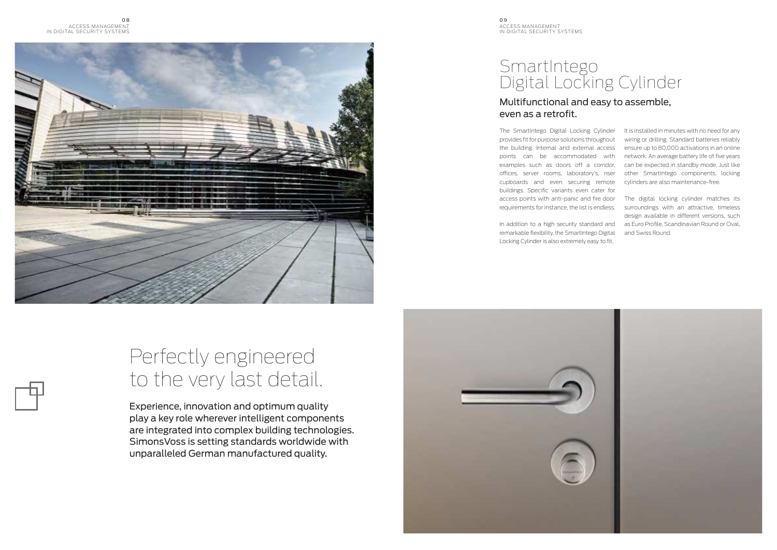# Perfectly engineered to the very last detail.

Experience, innovation and optimum quality play a key role wherever intelligent components are integrated into complex building technologies. SimonsVoss is setting standards worldwide with unparalleled German manufactured quality.





The SmartIntego Digital Locking Cylinder provides fit for purpose solutions throughout the building. Internal and external access points can be accommodated with examples such as doors off a corridor, offices, server rooms, laboratory's, riser cupboards and even securing remote buildings. Specific variants even cater for access points with anti-panic and fire door requirements for instance, the list is endless.

remarkable flexibility, the SmartIntego Digital Locking Cylinder is also extremely easy to fit.

In addition to a high security standard and as Euro Profile, Scandinavian Round or Oval, The digital locking cylinder matches its surroundings with an attractive, timeless design available in different versions, such and Swiss Round.

#### $09$ ACCESS MANAGEMENT IN DIGITAL SECURITY SYSTEMS

It is installed in minutes with no need for any wiring or drilling. Standard batteries reliably ensure up to 80,000 activations in an online network. An average battery life of five years can be expected in standby mode. Just like other SmartIntego components, locking cylinders are also maintenance-free.

# SmartIntego Digital Locking Cylinder Multifunctional and easy to assemble,

# even as a retrofit.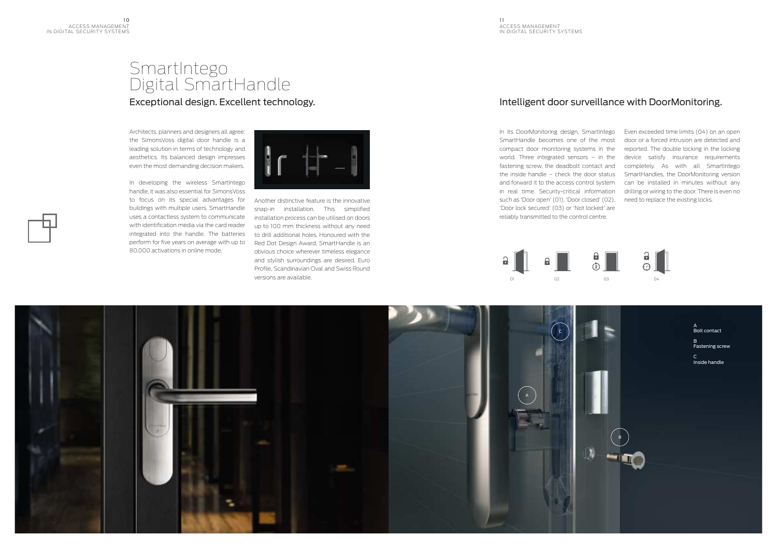Architects, planners and designers all agree: the SimonsVoss digital door handle is a leading solution in terms of technology and aesthetics. Its balanced design impresses even the most demanding decision makers.

In developing the wireless SmartIntego handle, it was also essential for SimonsVoss to focus on its special advantages for buildings with multiple users. SmartHandle uses a contactless system to communicate with identification media via the card reader integrated into the handle. The batteries perform for five years on average with up to 80,000 activations in online mode.



Another distinctive feature is the innovative snap-in installation. This simplified installation process can be utilised on doors up to 100 mm thickness without any need to drill additional holes. Honoured with the Red Dot Design Award, SmartHandle is an obvious choice wherever timeless elegance and stylish surroundings are desired. Euro Profile, Scandinavian Oval and Swiss Round versions are available.

In its DoorMonitoring design, SmartIntego SmartHandle becomes one of the most door or a forced intrusion are detected and compact door monitoring systems in the reported. The double locking in the locking world. Three integrated sensors – in the device satisfy insurance requirements fastening screw, the deadbolt contact and completely. As with all SmartIntego the inside handle – check the door status SmartHandles, the DoorMonitoring version and forward it to the access control system in real time. Security-critical information drilling or wiring to the door. There is even no such as 'Door open' (01), 'Door closed' (02), 'Door lock secured' (03) or 'Not locked' are reliably transmitted to the control centre.

Even exceeded time limits (04) on an open can be installed in minutes without any need to replace the existing locks.





# SmartIntego Digital SmartHandle

### Exceptional design. Excellent technology. Intelligent door surveillance with DoorMonitoring.





B A Bolt contact B Fastening screw C Inside handle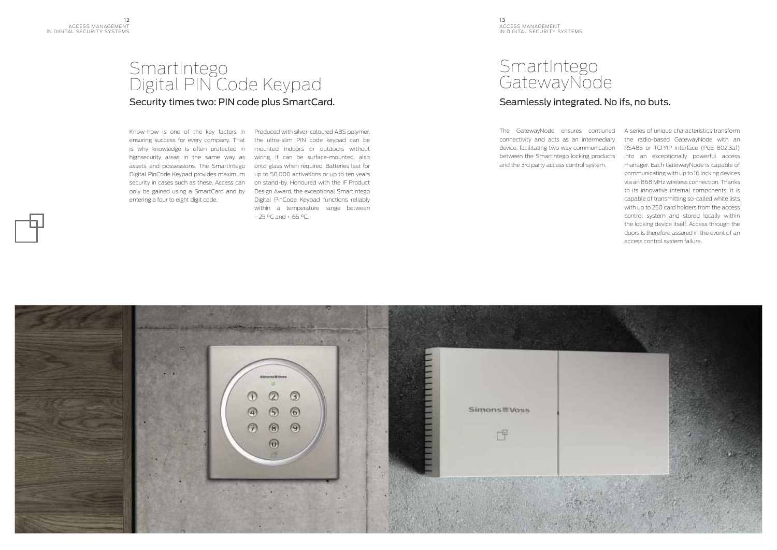Know-how is one of the key factors in ensuring success for every company. That is why knowledge is often protected in mounted indoors or outdoors without highsecurity areas in the same way as assets and possessions. The SmartIntego onto glass when required. Batteries last for Digital PinCode Keypad provides maximum up to 50,000 activations or up to ten years security in cases such as these. Access can only be gained using a SmartCard and by Design Award, the exceptional SmartIntego entering a four to eight digit code.

Produced with silver-coloured ABS polymer, the ultra-slim PIN code keypad can be wiring. It can be surface-mounted, also on stand-by. Honoured with the IF Product Digital PinCode Keypad functions reliably within a temperature range between  $-25$  °C and + 65 °C.

# **SmartIntego** Digital PIN Code Keypad Security times two: PIN code plus SmartCard.

# **GatewayNode** Seamlessly integrated. No ifs, no buts.

The GatewayNode ensures contiuned connectivity and acts as an intermediary device, facilitating two way communication between the SmartIntego locking products and the 3rd party access control system.



A series of unique characteristics transform the radio-based GatewayNode with an RS485 or TCP/IP interface (PoE 802.3af) into an exceptionally powerful access manager. Each GatewayNode is capable of communicating with up to 16 locking devices via an 868 MHz wireless connection. Thanks to its innovative internal components, it is capable of transmitting so-called white lists with up to 250 card holders from the access control system and stored locally within the locking device itself. Access through the doors is therefore assured in the event of an access control system failure.

# SmartIntego

1 3 ACCESS MANAGEMENT IN DIGITAL SECURITY SYSTEMS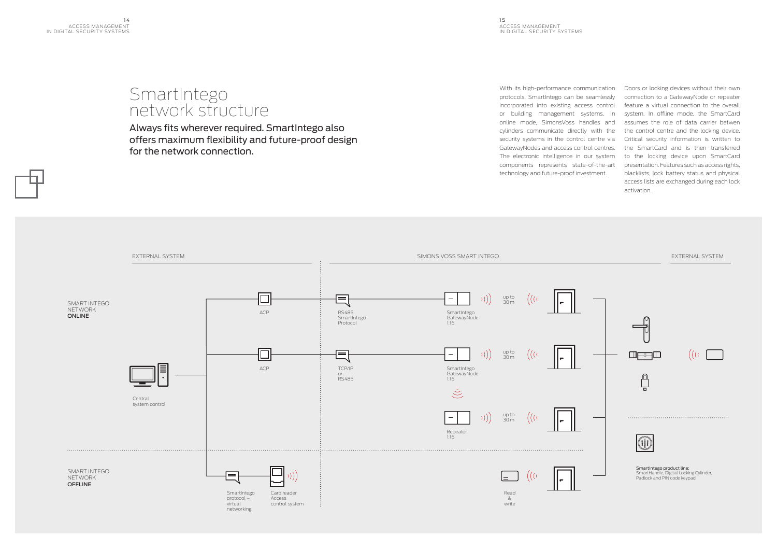1 4 ACCESS MANAGEMENT IN DIGITAL SECURITY SYSTEMS

1 5 ACCESS MANAGEMENT IN DIGITAL SECURITY SYSTEMS

With its high-performance communication protocols, SmartIntego can be seamlessly incorporated into existing access control or building management systems. In online mode, SimonsVoss handles and cylinders communicate directly with the security systems in the control centre via GatewayNodes and access control centres. The electronic intelligence in our system components represents state-of-the-art technology and future-proof investment.

Always fits wherever required. SmartIntego also offers maximum flexibility and future-proof design for the network connection.

Doors or locking devices without their own connection to a GatewayNode or repeater feature a virtual connection to the overall system. In offline mode, the SmartCard assumes the role of data carrier betwen the control centre and the locking device. Critical security information is written to the SmartCard and is then transferred to the locking device upon SmartCard presentation. Features such as access rights, blacklists, lock battery status and physical access lists are exchanged during each lock activation.

# SmartIntego network structure





SmartHandle, Digital Locking Cylinder, Padlock and PIN code keypad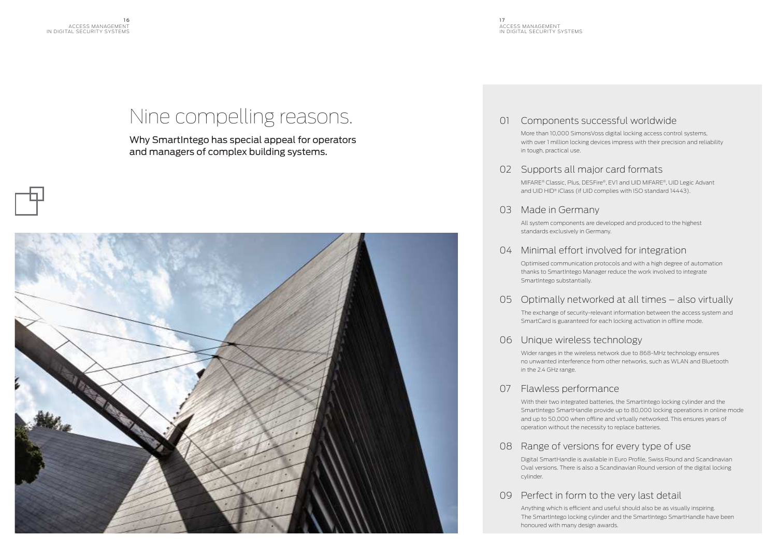### 01 Components successful worldwide

 More than 10,000 SimonsVoss digital locking access control systems, with over 1 million locking devices impress with their precision and reliability

in tough, practical use.

- 02 Supports all major card formats
- 03 Made in Germany

 MIFARE® Classic, Plus, DESFire®, EV1 and UID MIFARE ®, UID Legic Advant and UID HID® iClass (if UID complies with ISO standard 14443).

 The exchange of security-relevant information between the access system and SmartCard is guaranteed for each locking activation in offline mode.

### 06 Unique wireless technology

 All system components are developed and produced to the highest standards exclusively in Germany.

### 04 Minimal effort involved for integration

 Optimised communication protocols and with a high degree of automation thanks to SmartIntego Manager reduce the work involved to integrate SmartIntego substantially.

# 05 Optimally networked at all times – also virtually

Digital SmartHandle is available in Euro Profile, Swiss Round and Scandinavian Oval versions. There is also a Scandinavian Round version of the digital locking cylinder.

# 09 Perfect in form to the very last detail

Anything which is efficient and useful should also be as visually inspiring. The SmartIntego locking cylinder and the SmartIntego SmartHandle have been honoured with many design awards.

 Wider ranges in the wireless network due to 868-MHz technology ensures no unwanted interference from other networks, such as WLAN and Bluetooth in the 2.4 GHz range.

### 07 Flawless performance

 With their two integrated batteries, the SmartIntego locking cylinder and the SmartIntego SmartHandle provide up to 80,000 locking operations in online mode and up to 50,000 when offline and virtually networked. This ensures years of operation without the necessity to replace batteries.

### 08 Range of versions for every type of use

# Nine compelling reasons.

Why SmartIntego has special appeal for operators and managers of complex building systems.

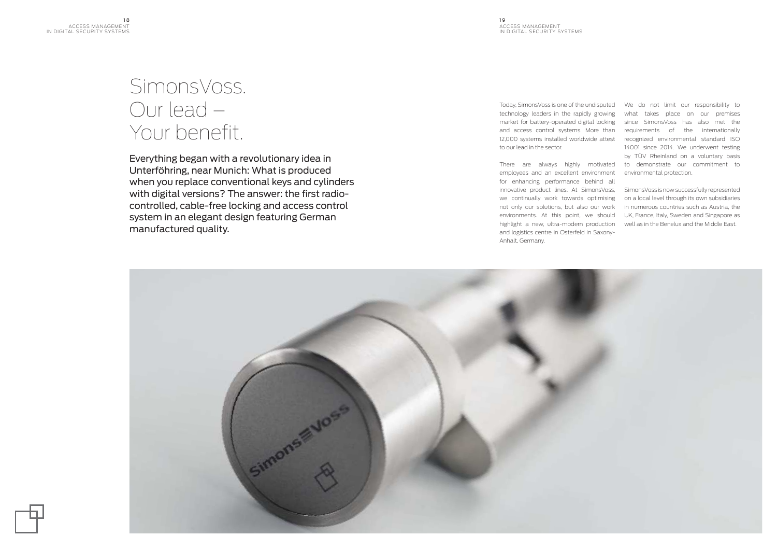Today, SimonsVoss is one of the undisputed technology leaders in the rapidly growing market for battery-operated digital locking since SimonsVoss has also met the and access control systems. More than requirements of the internationally 12,000 systems installed worldwide attest recognized environmental standard ISO to our lead in the sector.

employees and an excellent environment for enhancing performance behind all and logistics centre in Osterfeld in Saxony-Anhalt, Germany.



There are always highly motivated to demonstrate our commitment to We do not limit our responsibility to what takes place on our premises 14001 since 2014. We underwent testing by TÜV Rheinland on a voluntary basis environmental protection.

innovative product lines. At SimonsVoss, SimonsVoss is now successfully represented we continually work towards optimising on a local level through its own subsidiaries not only our solutions, but also our work in numerous countries such as Austria, the environments. At this point, we should UK, France, Italy, Sweden and Singapore as highlight a new, ultra-modern production well as in the Benelux and the Middle East.

Everything began with a revolutionary idea in Unterföhring, near Munich: What is produced when you replace conventional keys and cylinders with digital versions? The answer: the first radiocontrolled, cable-free locking and access control system in an elegant design featuring German manufactured quality.

# SimonsVoss. Our lead – Your benefit.